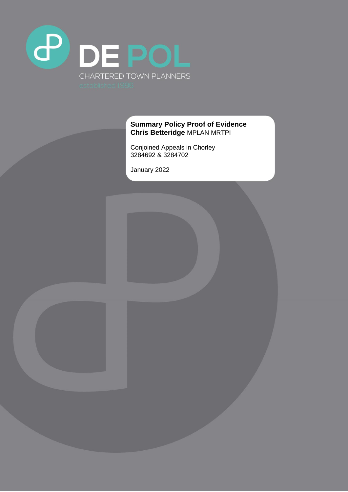

# **Summary Policy Proof of Evidence Chris Betteridge** MPLAN MRTPI

Conjoined Appeals in Chorley 3284692 & 3284702

January 2022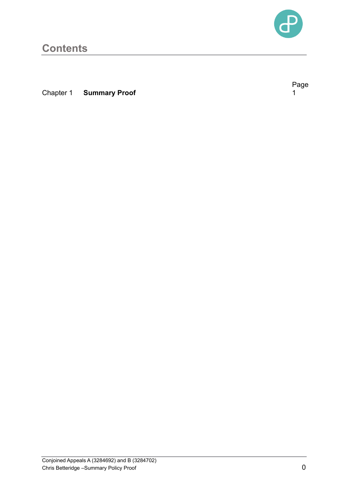

Page<br>1

# **Contents**

**Chapter 1 Summary Proof** 

Conjoined Appeals A (3284692) and B (3284702) Chris Betteridge –Summary Policy Proof 0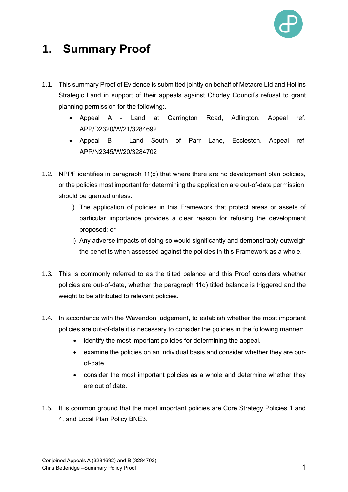

# **1. Summary Proof**

- 1.1. This summary Proof of Evidence is submitted jointly on behalf of Metacre Ltd and Hollins Strategic Land in support of their appeals against Chorley Council's refusal to grant planning permission for the following:.
	- Appeal A Land at Carrington Road, Adlington. Appeal ref. APP/D2320/W/21/3284692
	- Appeal B Land South of Parr Lane, Eccleston. Appeal ref. APP/N2345/W/20/3284702
- 1.2. NPPF identifies in paragraph 11(d) that where there are no development plan policies, or the policies most important for determining the application are out-of-date permission, should be granted unless:
	- i) The application of policies in this Framework that protect areas or assets of particular importance provides a clear reason for refusing the development proposed; or
	- ii) Any adverse impacts of doing so would significantly and demonstrably outweigh the benefits when assessed against the policies in this Framework as a whole.
- 1.3. This is commonly referred to as the tilted balance and this Proof considers whether policies are out-of-date, whether the paragraph 11d) titled balance is triggered and the weight to be attributed to relevant policies.
- 1.4. In accordance with the Wavendon judgement, to establish whether the most important policies are out-of-date it is necessary to consider the policies in the following manner:
	- identify the most important policies for determining the appeal.
	- examine the policies on an individual basis and consider whether they are ourof-date.
	- consider the most important policies as a whole and determine whether they are out of date.
- 1.5. It is common ground that the most important policies are Core Strategy Policies 1 and 4, and Local Plan Policy BNE3.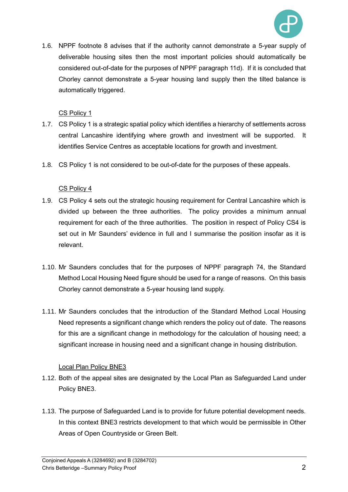

1.6. NPPF footnote 8 advises that if the authority cannot demonstrate a 5-year supply of deliverable housing sites then the most important policies should automatically be considered out-of-date for the purposes of NPPF paragraph 11d). If it is concluded that Chorley cannot demonstrate a 5-year housing land supply then the tilted balance is automatically triggered.

## CS Policy 1

- 1.7. CS Policy 1 is a strategic spatial policy which identifies a hierarchy of settlements across central Lancashire identifying where growth and investment will be supported. It identifies Service Centres as acceptable locations for growth and investment.
- 1.8. CS Policy 1 is not considered to be out-of-date for the purposes of these appeals.

### CS Policy 4

- 1.9. CS Policy 4 sets out the strategic housing requirement for Central Lancashire which is divided up between the three authorities. The policy provides a minimum annual requirement for each of the three authorities. The position in respect of Policy CS4 is set out in Mr Saunders' evidence in full and I summarise the position insofar as it is relevant.
- 1.10. Mr Saunders concludes that for the purposes of NPPF paragraph 74, the Standard Method Local Housing Need figure should be used for a range of reasons. On this basis Chorley cannot demonstrate a 5-year housing land supply.
- 1.11. Mr Saunders concludes that the introduction of the Standard Method Local Housing Need represents a significant change which renders the policy out of date. The reasons for this are a significant change in methodology for the calculation of housing need; a significant increase in housing need and a significant change in housing distribution.

#### Local Plan Policy BNE3

- 1.12. Both of the appeal sites are designated by the Local Plan as Safeguarded Land under Policy BNE3.
- 1.13. The purpose of Safeguarded Land is to provide for future potential development needs. In this context BNE3 restricts development to that which would be permissible in Other Areas of Open Countryside or Green Belt.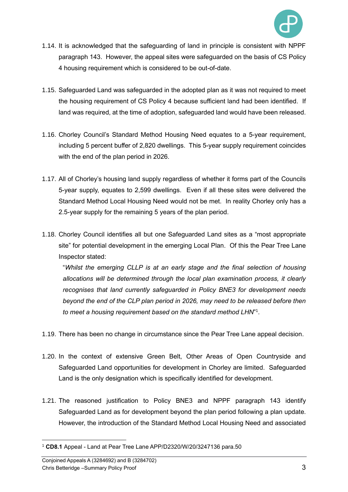

- 1.14. It is acknowledged that the safeguarding of land in principle is consistent with NPPF paragraph 143. However, the appeal sites were safeguarded on the basis of CS Policy 4 housing requirement which is considered to be out-of-date.
- 1.15. Safeguarded Land was safeguarded in the adopted plan as it was not required to meet the housing requirement of CS Policy 4 because sufficient land had been identified. If land was required, at the time of adoption, safeguarded land would have been released.
- 1.16. Chorley Council's Standard Method Housing Need equates to a 5-year requirement, including 5 percent buffer of 2,820 dwellings. This 5-year supply requirement coincides with the end of the plan period in 2026.
- 1.17. All of Chorley's housing land supply regardless of whether it forms part of the Councils 5-year supply, equates to 2,599 dwellings. Even if all these sites were delivered the Standard Method Local Housing Need would not be met. In reality Chorley only has a 2.5-year supply for the remaining 5 years of the plan period.
- 1.18. Chorley Council identifies all but one Safeguarded Land sites as a "most appropriate site" for potential development in the emerging Local Plan. Of this the Pear Tree Lane Inspector stated:

"*Whilst the emerging CLLP is at an early stage and the final selection of housing allocations will be determined through the local plan examination process, it clearly recognises that land currently safeguarded in Policy BNE3 for development needs beyond the end of the CLP plan period in 2026, may need to be released before then to meet a housing requirement based on the standard method LHN*" 1 .

- 1.19. There has been no change in circumstance since the Pear Tree Lane appeal decision.
- 1.20. In the context of extensive Green Belt, Other Areas of Open Countryside and Safeguarded Land opportunities for development in Chorley are limited. Safeguarded Land is the only designation which is specifically identified for development.
- 1.21. The reasoned justification to Policy BNE3 and NPPF paragraph 143 identify Safeguarded Land as for development beyond the plan period following a plan update. However, the introduction of the Standard Method Local Housing Need and associated

<sup>1</sup> **CD8.1** Appeal - Land at Pear Tree Lane APP/D2320/W/20/3247136 para.50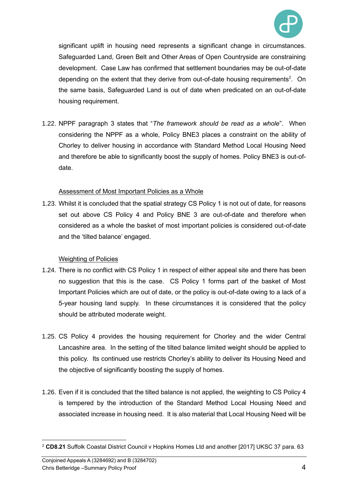

significant uplift in housing need represents a significant change in circumstances. Safeguarded Land, Green Belt and Other Areas of Open Countryside are constraining development. Case Law has confirmed that settlement boundaries may be out-of-date depending on the extent that they derive from out-of-date housing requirements<sup>2</sup>. On the same basis, Safeguarded Land is out of date when predicated on an out-of-date housing requirement.

1.22. NPPF paragraph 3 states that "*The framework should be read as a whole*". When considering the NPPF as a whole, Policy BNE3 places a constraint on the ability of Chorley to deliver housing in accordance with Standard Method Local Housing Need and therefore be able to significantly boost the supply of homes. Policy BNE3 is out-ofdate.

#### Assessment of Most Important Policies as a Whole

1.23. Whilst it is concluded that the spatial strategy CS Policy 1 is not out of date, for reasons set out above CS Policy 4 and Policy BNE 3 are out-of-date and therefore when considered as a whole the basket of most important policies is considered out-of-date and the 'tilted balance' engaged.

#### Weighting of Policies

- 1.24. There is no conflict with CS Policy 1 in respect of either appeal site and there has been no suggestion that this is the case. CS Policy 1 forms part of the basket of Most Important Policies which are out of date, or the policy is out-of-date owing to a lack of a 5-year housing land supply. In these circumstances it is considered that the policy should be attributed moderate weight.
- 1.25. CS Policy 4 provides the housing requirement for Chorley and the wider Central Lancashire area. In the setting of the tilted balance limited weight should be applied to this policy. Its continued use restricts Chorley's ability to deliver its Housing Need and the objective of significantly boosting the supply of homes.
- 1.26. Even if it is concluded that the tilted balance is not applied, the weighting to CS Policy 4 is tempered by the introduction of the Standard Method Local Housing Need and associated increase in housing need. It is also material that Local Housing Need will be

<sup>2</sup> **CD8.21** Suffolk Coastal District Council v Hopkins Homes Ltd and another [2017] UKSC 37 para. 63